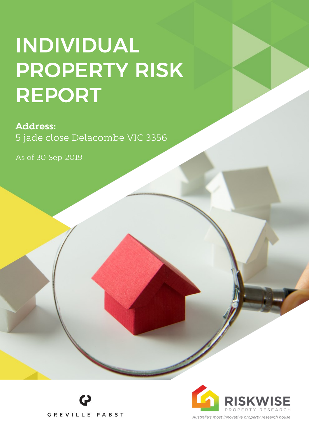# **INDIVIDUAL PROPERTY RISK** REPORT

### **Address:**

5 jade close Delacombe VIC 3356

As of 30-Sep-2019



**GREVILLE PABST**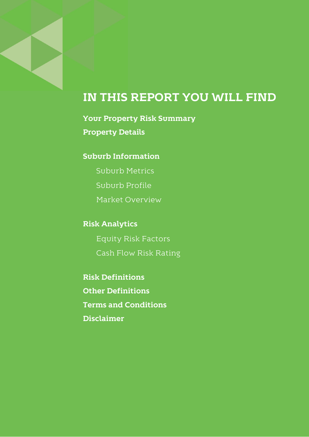### IN THIS REPORT YOU WILL FIND

**Your Property Risk Summary Property Details** 

#### **Suburb Information**

**Suburb Metrics** Suburb Profile

Market Overview

**Risk Analytics** 

**Equity Risk Factors** Cash Flow Risk Rating

**Risk Definitions Other Definitions Terms and Conditions Disclaimer**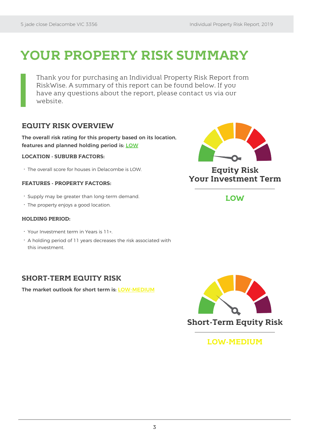### **YOUR PROPERTY RISK SUMMARY**

Thank you for purchasing an Individual Property Risk Report from RiskWise. A summary of this report can be found below. If you have any questions about the report, please contact us via our website.

#### **EQUITY RISK OVERVIEW**

The overall risk rating for this property based on its location, features and planned holding period is: LOW

#### **LOCATION - SUBURB FACTORS:**

The overall score for houses in Delacombe is LOW.

#### **FEATURES - PROPERTY FACTORS:**

- Supply may be greater than long-term demand.
- The property enjoys a good location.

#### **HOLDING PERIOD:**

- Your Investment term in Years is 11+.
- A holding period of 11 years decreases the risk associated with this investment.

#### **SHORT-TERM EQUITY RISK**

The market outlook for short term is: LOW-MEDIUM



**Equity Risk Your Investment Term**

**LOW**



#### **LOW-MEDIUM**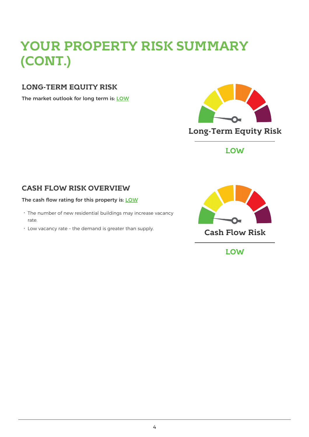## **YOUR PROPERTY RISK SUMMARY (CONT.)**

#### **LONG-TERM EQUITY RISK**

The market outlook for long term is: LOW



**LOW**

### **CASH FLOW RISK OVERVIEW**

#### The cash flow rating for this property is: LOW

- The number of new residential buildings may increase vacancy rate.
- Low vacancy rate the demand is greater than supply. **Cash Flow Risk**



**LOW**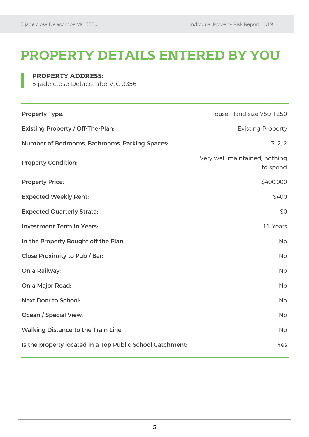### **PROPERTY DETAILS ENTERED BY YOU**

#### **PROPERTY ADDRESS:**

5 jade close Delacombe VIC 3356

| <b>Property Type:</b>                                     | House - land size 750-1250                |
|-----------------------------------------------------------|-------------------------------------------|
| <b>Existing Property / Off-The-Plan:</b>                  | <b>Existing Property</b>                  |
| Number of Bedrooms, Bathrooms, Parking Spaces:            | 3, 2, 2                                   |
| <b>Property Condition:</b>                                | Very well maintained, nothing<br>to spend |
| <b>Property Price:</b>                                    | \$400,000                                 |
| <b>Expected Weekly Rent:</b>                              | \$400                                     |
| <b>Expected Quarterly Strata:</b>                         | \$0                                       |
| <b>Investment Term in Years:</b>                          | 11 Years                                  |
| In the Property Bought off the Plan:                      | <b>No</b>                                 |
| Close Proximity to Pub / Bar:                             | <b>No</b>                                 |
| On a Railway:                                             | <b>No</b>                                 |
| On a Major Road:                                          | <b>No</b>                                 |
| Next Door to School:                                      | <b>No</b>                                 |
| Ocean / Special View:                                     | <b>No</b>                                 |
| <b>Walking Distance to the Train Line:</b>                | <b>No</b>                                 |
| Is the property located in a Top Public School Catchment: | Yes                                       |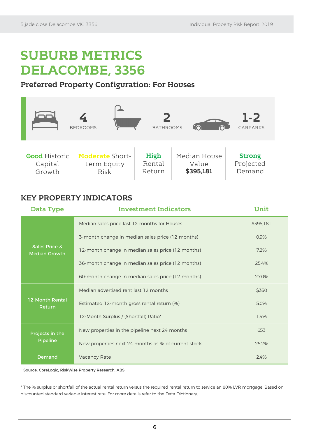### **SUBURB METRICS DELACOMBE, 3356**

#### **Preferred Property Configuration: For Houses**



#### **KEY PROPERTY INDICATORS**

| Data Type                                        | <b>Investment Indicators</b>                        | Unit      |
|--------------------------------------------------|-----------------------------------------------------|-----------|
| <b>Sales Price &amp;</b><br><b>Median Growth</b> | Median sales price last 12 months for Houses        | \$395,181 |
|                                                  | 3-month change in median sales price (12 months)    | 0.9%      |
|                                                  | 12-month change in median sales price (12 months)   | 7.2%      |
|                                                  | 36-month change in median sales price (12 months)   | 25.4%     |
|                                                  | 60-month change in median sales price (12 months)   | 27.0%     |
| <b>12-Month Rental</b><br>Return                 | Median advertised rent last 12 months               | \$350     |
|                                                  | Estimated 12-month gross rental return (%)          | 5.0%      |
|                                                  | 12-Month Surplus / (Shortfall) Ratio*               | 1.4%      |
| Projects in the<br>Pipeline                      | New properties in the pipeline next 24 months       | 653       |
|                                                  | New properties next 24 months as % of current stock | 25.2%     |
| Demand                                           | Vacancy Rate                                        | 2.4%      |

Source: CoreLogic, RiskWise Property Research, ABS

\* The % surplus or shortfall of the actual rental return versus the required rental return to service an 80% LVR mortgage. Based on discounted standard variable interest rate. For more details refer to the Data Dictionary.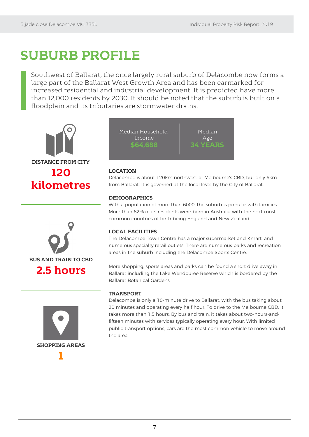### **SUBURB PROFILE**

Southwest of Ballarat, the once largely rural suburb of Delacombe now forms a large part of the Ballarat West Growth Area and has been earmarked for increased residential and industrial development. It is predicted have more than 12,000 residents by 2030. It should be noted that the suburb is built on a floodplain and its tributaries are stormwater drains.









#### **LOCATION**

Delacombe is about 120km northwest of Melbourne's CBD, but only 6km from Ballarat. It is governed at the local level by the City of Ballarat.

#### **DEMOGRAPHICS**

With a population of more than 6000, the suburb is popular with families. More than 82% of its residents were born in Australia with the next most common countries of birth being England and New Zealand.

#### **LOCAL FACILITIES**

The Delacombe Town Centre has a major supermarket and Kmart, and numerous specialty retail outlets. There are numerous parks and recreation areas in the suburb including the Delacombe Sports Centre.

More shopping, sports areas and parks can be found a short drive away in Ballarat including the Lake Wendouree Reserve which is bordered by the Ballarat Botanical Gardens.

#### **TRANSPORT**

Delacombe is only a 10-minute drive to Ballarat, with the bus taking about 20 minutes and operating every half hour. To drive to the Melbourne CBD, it takes more than 1.5 hours. By bus and train, it takes about two-hours-andfifteen minutes with services typically operating every hour. With limited public transport options, cars are the most common vehicle to move around the area.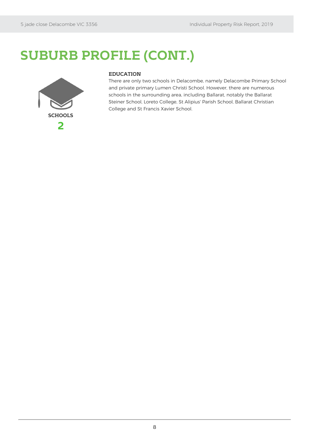### **SUBURB PROFILE (CONT.)**



#### **EDUCATION**

There are only two schools in Delacombe, namely Delacombe Primary School and private primary Lumen Christi School. However, there are numerous schools in the surrounding area, including Ballarat, notably the Ballarat Steiner School, Loreto College, St Alipius' Parish School, Ballarat Christian College and St Francis Xavier School.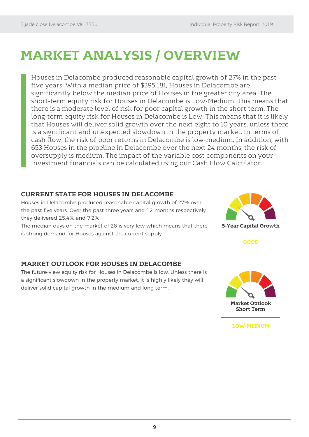### **MARKET ANALYSIS / OVERVIEW**

Houses in Delacombe produced reasonable capital growth of 27% in the past five years. With a median price of \$395,181, Houses in Delacombe are significantly below the median price of Houses in the greater city area. The short-term equity risk for Houses in Delacombe is Low-Medium. This means that there is a moderate level of risk for poor capital growth in the short term. The long-term equity risk for Houses in Delacombe is Low. This means that it is likely that Houses will deliver solid growth over the next eight to 10 years, unless there is a significant and unexpected slowdown in the property market. In terms of cash flow, the risk of poor returns in Delacombe is low-medium. In addition, with 653 Houses in the pipeline in Delacombe over the next 24 months, the risk of oversupply is medium. The impact of the variable cost components on your investment financials can be calculated using our Cash Flow Calculator.

#### **CURRENT STATE FOR HOUSES IN DELACOMBE**

Houses in Delacombe produced reasonable capital growth of 27% over the past five years. Over the past three years and 12 months respectively, they delivered 25.4% and 7.2%.

The median days on the market of 28 is very low which means that there is strong demand for Houses against the current supply.



**GOOD**

#### **MARKET OUTLOOK FOR HOUSES IN DELACOMBE**

The future-view equity risk for Houses in Delacombe is low. Unless there is a significant slowdown in the property market, it is highly likely they will deliver solid capital growth in the medium and long term.



**LOW-MEDIUM**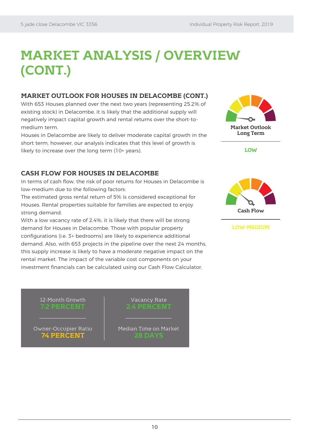### **MARKET ANALYSIS / OVERVIEW (CONT.)**

#### **MARKET OUTLOOK FOR HOUSES IN DELACOMBE (CONT.)**

With 653 Houses planned over the next two years (representing 25.2% of existing stock) in Delacombe, it is likely that the additional supply will negatively impact capital growth and rental returns over the short-tomedium term.

Houses in Delacombe are likely to deliver moderate capital growth in the short term, however, our analysis indicates that this level of growth is likely to increase over the long term (10+ years).



In terms of cash flow, the risk of poor returns for Houses in Delacombe is low-medium due to the following factors:

The estimated gross rental return of 5% is considered exceptional for Houses. Rental properties suitable for families are expected to enjoy strong demand.

With a low vacancy rate of 2.4%, it is likely that there will be strong demand for Houses in Delacombe. Those with popular property configurations (i.e. 3+ bedrooms) are likely to experience additional demand. Also, with 653 projects in the pipeline over the next 24 months, this supply increase is likely to have a moderate negative impact on the rental market. The impact of the variable cost components on your investment financials can be calculated using our Cash Flow Calculator.





**Market Outlook Long Term**

**LOW**



```
LOW-MEDIUM
```
#### 12-Month Growth **7.2 PERCENT**

Owner-Occupier Ratio **74 PERCENT**

**2.4 PERCENT**

Vacancy Rate

Median Time on Market **28 DAYS**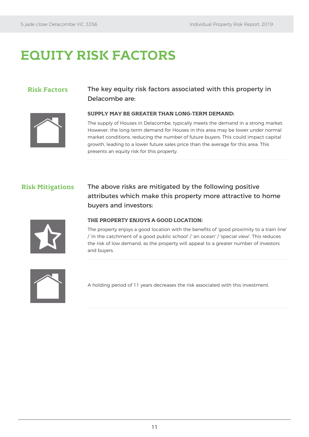### **EQUITY RISK FACTORS**

#### **Risk Factors** The key equity risk factors associated with this property in Delacombe are:

**SUPPLY MAY BE GREATER THAN LONG-TERM DEMAND:**



The supply of Houses in Delacombe, typically meets the demand in a strong market. However, the long-term demand for Houses in this area may be lower under normal market conditions, reducing the number of future buyers. This could impact capital growth, leading to a lower future sales price than the average for this area. This presents an equity risk for this property.

**Risk Mitigations** The above risks are mitigated by the following positive attributes which make this property more attractive to home buyers and investors:



#### **THE PROPERTY ENJOYS A GOOD LOCATION:**

The property enjoys a good location with the benefits of 'good proximity to a train line' / 'in the catchment of a good public school' / 'an ocean' / 'special view'. This reduces the risk of low demand, as the property will appeal to a greater number of investors and buyers.



A holding period of 11 years decreases the risk associated with this investment.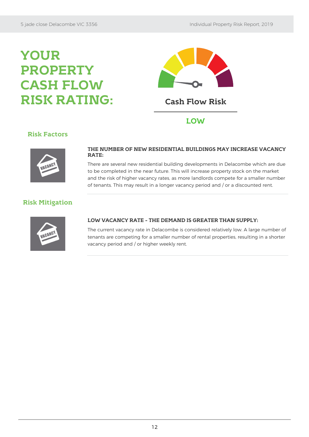### **YOUR PROPERTY CASH FLOW RISK RATING: Cash Flow Risk**



#### **Risk Factors**



#### **THE NUMBER OF NEW RESIDENTIAL BUILDINGS MAY INCREASE VACANCY RATE:**

There are several new residential building developments in Delacombe which are due to be completed in the near future. This will increase property stock on the market and the risk of higher vacancy rates, as more landlords compete for a smaller number of tenants. This may result in a longer vacancy period and / or a discounted rent.

#### **Risk Mitigation**



#### **LOW VACANCY RATE – THE DEMAND IS GREATER THAN SUPPLY:**

The current vacancy rate in Delacombe is considered relatively low. A large number of tenants are competing for a smaller number of rental properties, resulting in a shorter vacancy period and / or higher weekly rent.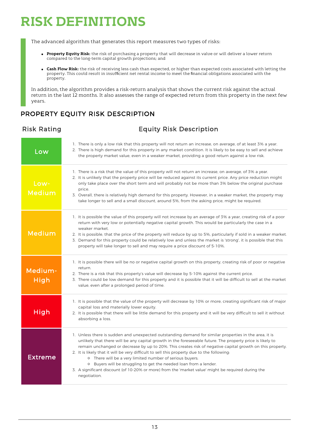### **RISK DEFINITIONS**

The advanced algorithm that generates this report measures two types of risks:

- **Property Equity Risk:** the risk of purchasing a property that will decrease in value or will deliver a lower return compared to the long-term capital growth projections; and
- **Cash Flow Risk:** the risk of receiving less cash than expected, or higher than expected costs associated with letting the property. This could result in insufficient net rental income to meet the financial obligations associated with the property.

In addition, the algorithm provides a risk-return analysis that shows the current risk against the actual return in the last 12 months. It also assesses the range of expected return from this property in the next few years.

#### PROPERTY EQUITY RISK DESCRIPTION

#### Risk Rating Equity Risk Description

| Low                    | 1. There is only a low risk that this property will not return an increase, on average, of at least 3% a year.<br>2. There is high demand for this property in any market condition. It is likely to be easy to sell and achieve<br>the property market value, even in a weaker market, providing a good return against a low risk.                                                                                                                                                                                                                                                                                                                                                                        |
|------------------------|------------------------------------------------------------------------------------------------------------------------------------------------------------------------------------------------------------------------------------------------------------------------------------------------------------------------------------------------------------------------------------------------------------------------------------------------------------------------------------------------------------------------------------------------------------------------------------------------------------------------------------------------------------------------------------------------------------|
| Low-<br><b>Medium</b>  | 1. There is a risk that the value of this property will not return an increase, on average, of 3% a year.<br>2. It is unlikely that the property price will be reduced against its current price. Any price reduction might<br>only take place over the short term and will probably not be more than 3% below the original purchase<br>price.<br>3. Overall, there is relatively high demand for this property. However, in a weaker market, the property may<br>take longer to sell and a small discount, around 5%, from the asking price, might be required.                                                                                                                                           |
| <b>Medium</b>          | 1. It is possible the value of this property will not increase by an average of 3% a year, creating risk of a poor<br>return with very low or potentially negative capital growth. This would be particularly the case in a<br>weaker market.<br>2. It is possible, that the price of the property will reduce by up to 5%, particularly if sold in a weaker market.<br>3. Demand for this property could be relatively low and unless the market is 'strong', it is possible that this<br>property will take longer to sell and may require a price discount of 5-10%.                                                                                                                                    |
| Medium-<br><b>High</b> | 1. It is possible there will be no or negative capital growth on this property, creating risk of poor or negative<br>return.<br>2. There is a risk that this property's value will decrease by 5-10% against the current price.<br>3. There could be low demand for this property and it is possible that it will be difficult to sell at the market<br>value, even after a prolonged period of time.                                                                                                                                                                                                                                                                                                      |
| High                   | 1. It is possible that the value of the property will decrease by 10% or more, creating significant risk of major<br>capital loss and materially lower equity.<br>2. It is possible that there will be little demand for this property and it will be very difficult to sell it without<br>absorbing a loss.                                                                                                                                                                                                                                                                                                                                                                                               |
| Extreme                | 1. Unless there is sudden and unexpected outstanding demand for similar properties in the area, it is<br>unlikely that there will be any capital growth in the foreseeable future. The property price is likely to<br>remain unchanged or decrease by up to 20%. This creates risk of negative capital growth on this property.<br>2. It is likely that it will be very difficult to sell this property due to the following:<br><sup>o</sup> There will be a very limited number of serious buyers;<br><sup>o</sup> Buyers will be struggling to get the needed loan from a lender.<br>3. A significant discount (of 10-20% or more) from the 'market value' might be required during the<br>negotiation. |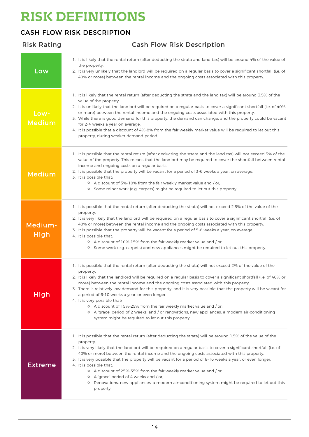### **RISK DEFINITIONS**

Risk Rating Cash Flow Risk Description

#### CASH FLOW RISK DESCRIPTION

#### Low 1. It is likely that the rental return (after deducting the strata and land tax) will be around 4% of the value of the property. 2. It is very unlikely that the landlord will be required on a regular basis to cover a significant shortfall (i.e. of 40% or more) between the rental income and the ongoing costs associated with this property. Low-Medium 1. It is likely that the rental return (after deducting the strata and the land tax) will be around 3.5% of the value of the property. 2. It is unlikely that the landlord will be required on a regular basis to cover a significant shortfall (i.e. of 40% or more) between the rental income and the ongoing costs associated with this property. 3. While there is good demand for this property, the demand can change, and the property could be vacant for 2-4 weeks a vear on average. 4. It is possible that a discount of 4%-8% from the fair weekly market value will be required to let out this property, during weaker demand period. Medium 1. It is possible that the rental return (after deducting the strata and the land tax) will not exceed 3% of the value of the property. This means that the landlord may be required to cover the shortfall between rental income and ongoing costs on a regular basis. 2. It is possible that the property will be vacant for a period of 3-6 weeks a year, on average. 3. It is possible that: A discount of 5%-10% from the fair weekly market value and / or; <sup>o</sup> Some minor work (e.g. carpets) might be required to let out this property. Medium-High 1. It is possible that the rental return (after deducting the strata) will not exceed 2.5% of the value of the property. 2. It is very likely that the landlord will be required on a regular basis to cover a significant shortfall (i.e. of 40% or more) between the rental income and the ongoing costs associated with this property. 3. It is possible that the property will be vacant for a period of 5-8 weeks a year, on average. 4. It is possible that: A discount of 10%-15% from the fair weekly market value and / or; Some work (e.g. carpets) and new appliances might be required to let out this property. High 1. It is possible that the rental return (after deducting the strata) will not exceed 2% of the value of the property. 2. It is likely that the landlord will be required on a regular basis to cover a significant shortfall (i.e. of 40% or more) between the rental income and the ongoing costs associated with this property. 3. There is relatively low demand for this property, and it is very possible that the property will be vacant for a period of 6-10 weeks a year, or even longer. 4. It is very possible that: A discount of 15%-25% from the fair weekly market value and / or; A 'grace' period of 2 weeks; and / or renovations, new appliances, a modern air-conditioning system might be required to let out this property. Extreme 1. It is possible that the rental return (after deducting the strata) will be around 1.5% of the value of the property. 2. It is very likely that the landlord will be required on a regular basis to cover a significant shortfall (i.e. of 40% or more) between the rental income and the ongoing costs associated with this property. 3. It is very possible that the property will be vacant for a period of 8-16 weeks a year, or even longer. 4. It is possible that: A discount of 25%-35% from the fair weekly market value and / or; A 'grace' period of 4 weeks and / or; **P** Renovations, new appliances, a modern air-conditioning system might be required to let out this property.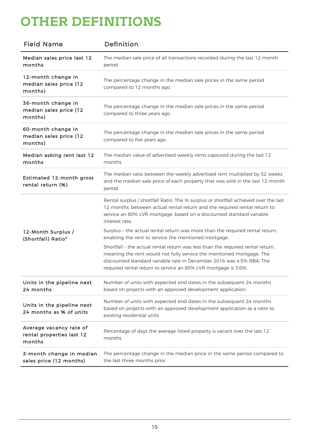### **OTHER DEFINITIONS**

| <b>Field Name</b>                                              | Definition                                                                                                                                                                                                                                                                                       |
|----------------------------------------------------------------|--------------------------------------------------------------------------------------------------------------------------------------------------------------------------------------------------------------------------------------------------------------------------------------------------|
| Median sales price last 12<br>months                           | The median sale price of all transactions recorded during the last 12-month<br>period                                                                                                                                                                                                            |
| 12-month change in<br>median sales price (12<br>months)        | The percentage change in the median sale prices in the same period<br>compared to 12 months ago.                                                                                                                                                                                                 |
| 36-month change in<br>median sales price (12<br>months)        | The percentage change in the median sale prices in the same period<br>compared to three years ago.                                                                                                                                                                                               |
| 60-month change in<br>median sales price (12<br>months)        | The percentage change in the median sale prices in the same period<br>compared to five years ago.                                                                                                                                                                                                |
| Median asking rent last 12<br>months                           | The median value of advertised weekly rents captured during the last 12<br>months.                                                                                                                                                                                                               |
| <b>Estimated 12-month gross</b><br>rental return (%)           | The median ratio between the weekly advertised rent multiplied by 52 weeks<br>and the median sale price of each property that was sold in the last 12-month<br>period.                                                                                                                           |
|                                                                | Rental surplus / shortfall Ratio: The % surplus or shortfall achieved over the last<br>12 months, between actual rental return and the required rental return to<br>service an 80% LVR mortgage, based on a discounted standard variable<br>interest rate.                                       |
| 12-Month Surplus /<br>(Shortfall) Ratio*                       | Surplus - the actual rental return was more than the required rental return,<br>enabling the rent to service the mentioned mortgage.                                                                                                                                                             |
|                                                                | Shortfall - the actual rental return was less than the required rental return,<br>meaning the rent would not fully service the mentioned mortgage. The<br>discounted standard variable rate in December 2016 was 4.5% RBA. The<br>required rental return to service an 80% LVR mortgage is 3.6%. |
| Units in the pipeline next<br>24 months                        | Number of units with expected end dates in the subsequent 24 months<br>based on projects with an approved development application.                                                                                                                                                               |
| Units in the pipeline next<br>24 months as % of units          | Number of units with expected end dates in the subsequent 24 months<br>based on projects with an approved development application as a ratio to<br>existing residential units                                                                                                                    |
| Average vacancy rate of<br>rental properties last 12<br>months | Percentage of days the average listed property is vacant over the last 12<br>months.                                                                                                                                                                                                             |
| 3-month change in median<br>sales price (12 months)            | The percentage change in the median price in the same period compared to<br>the last three months prior.                                                                                                                                                                                         |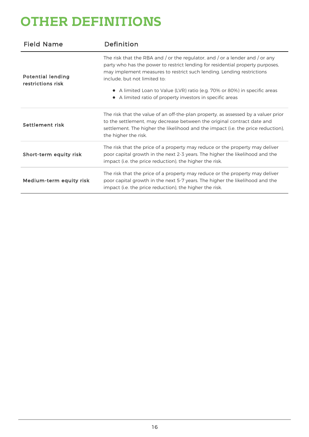### **OTHER DEFINITIONS**

| <b>Field Name</b>                             | Definition                                                                                                                                                                                                                                                                                                                                                                                                                   |
|-----------------------------------------------|------------------------------------------------------------------------------------------------------------------------------------------------------------------------------------------------------------------------------------------------------------------------------------------------------------------------------------------------------------------------------------------------------------------------------|
| <b>Potential lending</b><br>restrictions risk | The risk that the RBA and / or the regulator, and / or a lender and / or any<br>party who has the power to restrict lending for residential property purposes,<br>may implement measures to restrict such lending. Lending restrictions<br>include, but not limited to:<br>• A limited Loan to Value (LVR) ratio (e.g. 70% or 80%) in specific areas<br>A limited ratio of property investors in specific areas<br>$\bullet$ |
| Settlement risk                               | The risk that the value of an off-the-plan property, as assessed by a valuer prior<br>to the settlement, may decrease between the original contract date and<br>settlement. The higher the likelihood and the impact (i.e. the price reduction),<br>the higher the risk.                                                                                                                                                     |
| Short-term equity risk                        | The risk that the price of a property may reduce or the property may deliver<br>poor capital growth in the next 2-3 years. The higher the likelihood and the<br>impact (i.e. the price reduction), the higher the risk.                                                                                                                                                                                                      |
| Medium-term equity risk                       | The risk that the price of a property may reduce or the property may deliver<br>poor capital growth in the next 5-7 years. The higher the likelihood and the<br>impact (i.e. the price reduction), the higher the risk.                                                                                                                                                                                                      |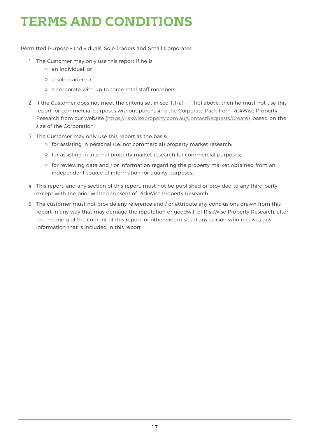## **TERMS AND CONDITIONS**

Permitted Purpose – Individuals, Sole Traders and Small Corporates

- 1. The Customer may only use this report if he is:
	- an individual; or
	- a sole trader; or
	- a corporate with up to three total staff members
- 2. If the Customer does not meet the criteria set in sec  $1.1(a)$   $1.1(c)$  above, then he must not use this report for commercial purposes without purchasing the Corporate Pack from RiskWise Property Research from our website (https://riskwiseproperty.com.au/ContactRequests/Create), based on the size of the Corporation.
- 3. The Customer may only use this report as the basis:
	- for assisting in personal (i.e. not commercial) property market research;
	- $\circ$  for assisting in internal property market research for commercial purposes;
	- $\circ$  for reviewing data and / or information regarding the property market obtained from an independent source of information for quality purposes.
- 4. This report, and any section of this report, must not be published or provided to any third party except with the prior written consent of RiskWise Property Research.
- 5. The customer must not provide any reference and / or attribute any conclusions drawn from this report in any way that may damage the reputation or goodwill of RiskWise Property Research, alter the meaning of the content of this report, or otherwise mislead any person who receives any information that is included in this report.